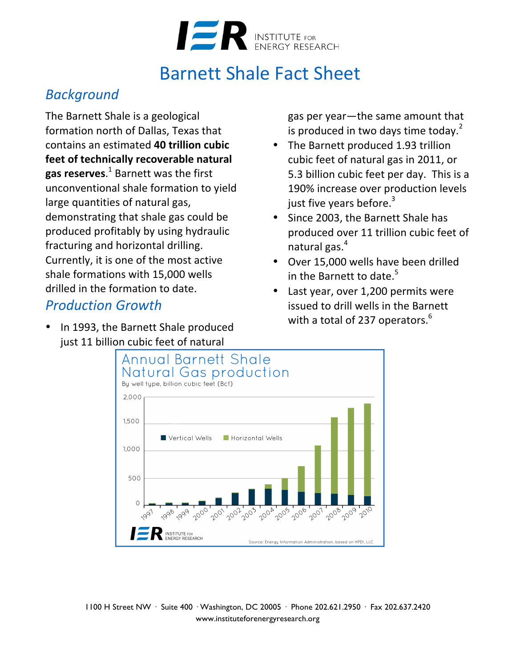

## **Barnett Shale Fact Sheet**

#### *Background*

The Barnett Shale is a geological formation north of Dallas, Texas that contains an estimated **40 trillion cubic**  feet of technically recoverable natural **gas reserves**.<sup>1</sup> Barnett was the first unconventional shale formation to yield large quantities of natural gas, demonstrating that shale gas could be produced profitably by using hydraulic fracturing and horizontal drilling. Currently, it is one of the most active shale formations with 15,000 wells drilled in the formation to date.

#### *Production Growth*

• In 1993, the Barnett Shale produced just 11 billion cubic feet of natural

gas per year—the same amount that is produced in two days time today.<sup>2</sup>

- The Barnett produced 1.93 trillion cubic feet of natural gas in 2011, or 5.3 billion cubic feet per day. This is a 190% increase over production levels just five years before. $3$
- Since 2003, the Barnett Shale has produced over 11 trillion cubic feet of natural gas. $<sup>4</sup>$ </sup>
- Over 15,000 wells have been drilled in the Barnett to date.<sup>5</sup>
- Last year, over 1,200 permits were issued to drill wells in the Barnett with a total of 237 operators.<sup>6</sup>



1100 H Street NW · Suite 400 · Washington, DC 20005 · Phone 202.621.2950 · Fax 202.637.2420 www.instituteforenergyresearch.org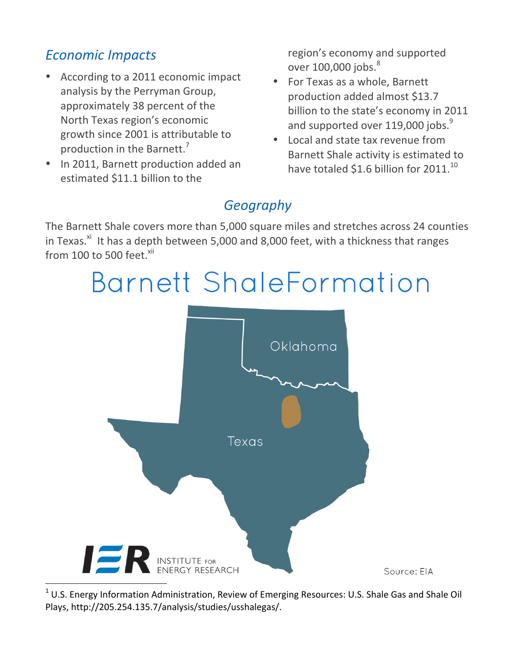#### *Economic Impacts*

- According to a 2011 economic impact analysis by the Perryman Group, approximately 38 percent of the North Texas region's economic growth since 2001 is attributable to production in the Barnett.<sup>7</sup>
- In 2011, Barnett production added an estimated \$11.1 billion to the

region's economy and supported over  $100,000$  jobs. $^{8}$ 

- For Texas as a whole, Barnett production added almost \$13.7 billion to the state's economy in 2011 and supported over 119,000 jobs. $^{9}$
- Local and state tax revenue from Barnett Shale activity is estimated to have totaled \$1.6 billion for 2011. $^{10}$

### *Geography*

The Barnett Shale covers more than 5,000 square miles and stretches across 24 counties in Texas. $^{xi}$  It has a depth between 5,000 and 8,000 feet, with a thickness that ranges from  $100$  to 500 feet.<sup>xii</sup>

# Barnett ShaleFormation



 $1$  U.S. Energy Information Administration, Review of Emerging Resources: U.S. Shale Gas and Shale Oil Plays, http://205.254.135.7/analysis/studies/usshalegas/.